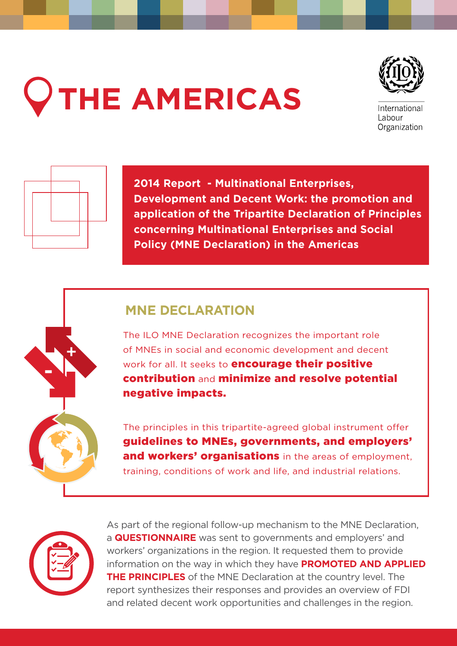# **THE AMERICAS**



International Labour Organization



+

-

**2014 Report - Multinational Enterprises, Development and Decent Work: the promotion and application of the Tripartite Declaration of Principles concerning Multinational Enterprises and Social Policy (MNE Declaration) in the Americas**

# **MNE DECLARATION**

The ILO MNE Declaration recognizes the important role of MNEs in social and economic development and decent work for all. It seeks to **encourage their positive** contribution and minimize and resolve potential negative impacts.

The principles in this tripartite-agreed global instrument offer guidelines to MNEs, governments, and employers' and workers' organisations in the areas of employment. training, conditions of work and life, and industrial relations.



As part of the regional follow-up mechanism to the MNE Declaration, a **QUESTIONNAIRE** was sent to governments and employers' and workers' organizations in the region. It requested them to provide information on the way in which they have **PROMOTED AND APPLIED THE PRINCIPLES** of the MNE Declaration at the country level. The report synthesizes their responses and provides an overview of FDI and related decent work opportunities and challenges in the region.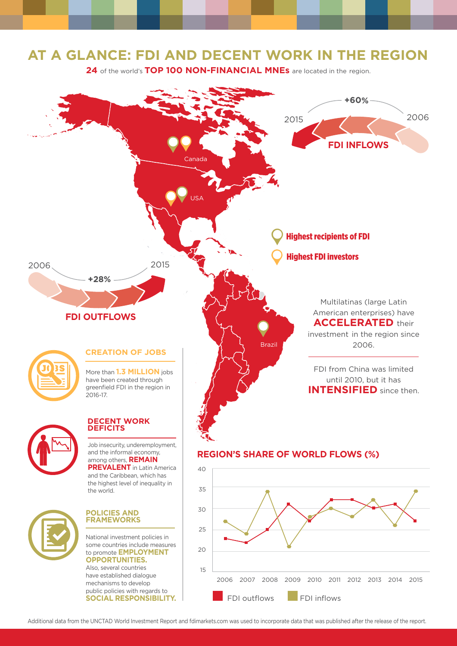## **AT A GLANCE: FDI AND DECENT WORK IN THE REGION**

24 of the world's TOP 100 NON-FINANCIAL MNEs are located in the region.



Additional data from the UNCTAD World Investment Report and fdimarkets.com was used to incorporate data that was published after the release of the report.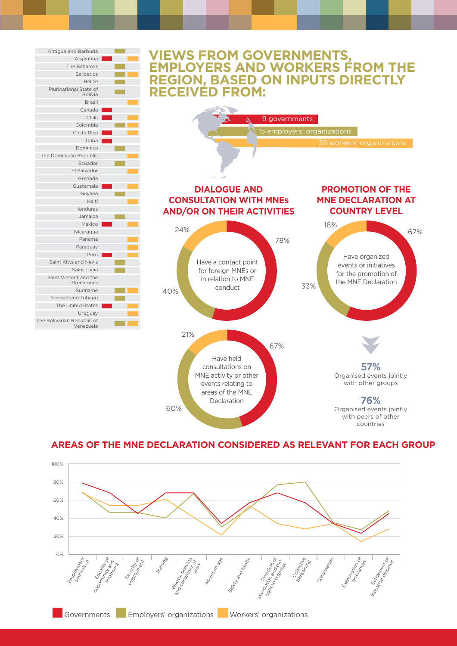

#### **AREAS OF THE MNE DECLARATION CONSIDERED AS RELEVANT FOR EACH GROUP**